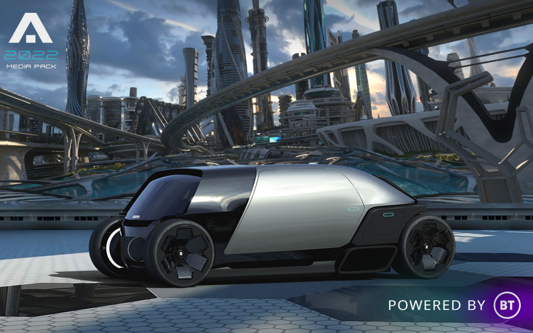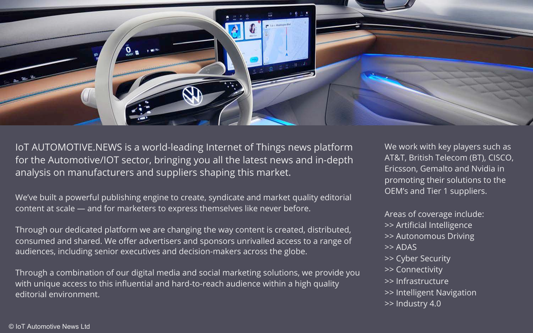

IoT AUTOMOTIVE.NEWS is a world-leading Internet of Things news platform for the Automotive/IOT sector, bringing you all the latest news and in-depth analysis on manufacturers and suppliers shaping this market.

We've built a powerful publishing engine to create, syndicate and market quality editorial content at scale — and for marketers to express themselves like never before.

Through our dedicated platform we are changing the way content is created, distributed, consumed and shared. We offer advertisers and sponsors unrivalled access to a range of audiences, including senior executives and decision-makers across the globe.

Through a combination of our digital media and social marketing solutions, we provide you with unique access to this influential and hard-to-reach audience within a high quality editorial environment.

We work with key players such as AT&T, British Telecom (BT), CISCO, Ericsson, Gemalto and Nvidia in promoting their solutions to the OEM's and Tier 1 suppliers.

Areas of coverage include: >> Artificial Intelligence >> Autonomous Driving >> ADAS >> Cyber Security >> Connectivity >> Infrastructure >> Intelligent Navigation >> Industry 4.0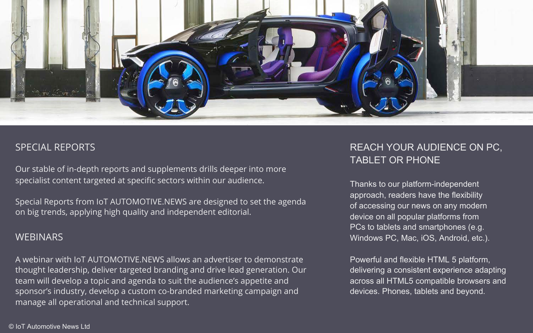

### SPECIAL REPORTS

Our stable of in-depth reports and supplements drills deeper into more specialist content targeted at specific sectors within our audience.

Special Reports from IoT AUTOMOTIVE.NEWS are designed to set the agenda on big trends, applying high quality and independent editorial.

### **WEBINARS**

A webinar with IoT AUTOMOTIVE.NEWS allows an advertiser to demonstrate thought leadership, deliver targeted branding and drive lead generation. Our team will develop a topic and agenda to suit the audience's appetite and sponsor's industry, develop a custom co-branded marketing campaign and manage all operational and technical support.

# REACH YOUR AUDIENCE ON PC, TABLET OR PHONE

Thanks to our platform-independent approach, readers have the flexibility of accessing our news on any modern device on all popular platforms from PCs to tablets and smartphones (e.g. Windows PC, Mac, iOS, Android, etc.).

Powerful and flexible HTML 5 platform, delivering a consistent experience adapting across all HTML5 compatible browsers and devices. Phones, tablets and beyond.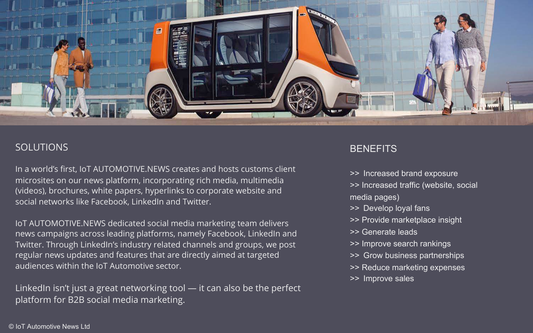

### SOLUTIONS

In a world's first, IoT AUTOMOTIVE.NEWS creates and hosts customs client microsites on our news platform, incorporating rich media, multimedia (videos), brochures, white papers, hyperlinks to corporate website and social networks like Facebook, LinkedIn and Twitter.

IoT AUTOMOTIVE.NEWS dedicated social media marketing team delivers news campaigns across leading platforms, namely Facebook, LinkedIn and Twitter. Through LinkedIn's industry related channels and groups, we post regular news updates and features that are directly aimed at targeted audiences within the IoT Automotive sector.

LinkedIn isn't just a great networking tool — it can also be the perfect platform for B2B social media marketing.

## **BENEFITS**

- >> Increased brand exposure
- >> Increased traffic (website, social media pages)
- >> Develop loyal fans
- >> Provide marketplace insight
- >> Generate leads
- >> Improve search rankings
- >> Grow business partnerships
- >> Reduce marketing expenses
- >> Improve sales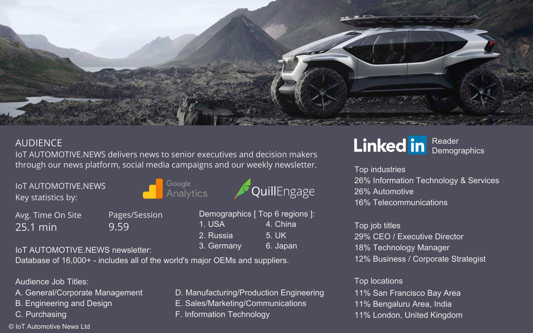

# AUDIENCE

IoT AUTOMOTIVE.NEWS delivers news to senior executives and decision makers through our news platform, social media campaigns and our weekly newsletter.

Google

Analytics

IoT AUTOMOTIVE.NEWS Key statistics by:

Avg. Time On Site 25.1 min

Pages/Session 9.59

Database of 16,000+ - includes all of the world's major OEMs and suppliers.

Audience Job Titles:

- 
- B. Engineering and Design E. Sales/Marketing/Communications
- 
- © IoT Automotive News Ltd

loT AUTOMOTIVE.NEWS newsletter: 3. Germany 6. Japan

Demographics [ Top 6 regions ]: 1. USA 4. China 2. Russia 5. UK

QuillEngage

- A. General/Corporate Management D. Manufacturing/Production Engineering
	-
- C. Purchasing F. Information Technology

### Linked in Reader **Demographics**

Top industries 26% Information Technology & Services 26% Automotive 16% Telecommunications

Top job titles 29% CEO / Executive Director 18% Technology Manager 12% Business / Corporate Strategist

### Top locations 11% San Francisco Bay Area 11% Bengaluru Area, India

11% London, United Kingdom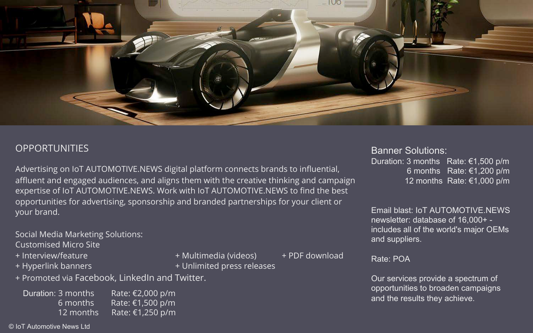![](_page_5_Picture_0.jpeg)

## **OPPORTUNITIES**

Advertising on IoT AUTOMOTIVE.NEWS digital platform connects brands to influential, affluent and engaged audiences, and aligns them with the creative thinking and campaign expertise of IoT AUTOMOTIVE.NEWS. Work with IoT AUTOMOTIVE.NEWS to find the best opportunities for advertising, sponsorship and branded partnerships for your client or your brand.

Social Media Marketing Solutions: Customised Micro Site

- 
- 
- + Interview/feature + Multimedia (videos) + PDF download
	-
- + Hyperlink banners + Unlimited press releases
- 

+ Promoted via Facebook, LinkedIn and Twitter.

Duration: 3 months Rate: €2,000 p/m<br>and the results they achieve.<br>6 months Rate: €1.500 p/m Rate: €1,500 p/m 12 months Rate: €1,250 p/m

© IoT Automotive News Ltd

Banner Solutions:

Duration: 3 months Rate: €1,500 p/m 6 months Rate: €1,200 p/m 12 months Rate: €1,000 p/m

Email blast: IoT AUTOMOTIVE.NEWS newsletter: database of 16,000+ includes all of the world's major OEMs and suppliers.

### Rate: POA

Our services provide a spectrum of opportunities to broaden campaigns